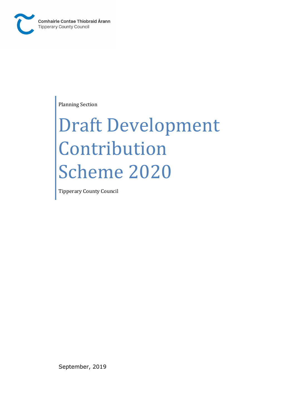

Planning Section

# Draft Development Contribution Scheme 2020

Tipperary County Council

September, 2019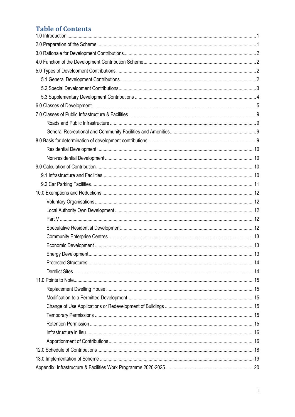# **Table of Contents**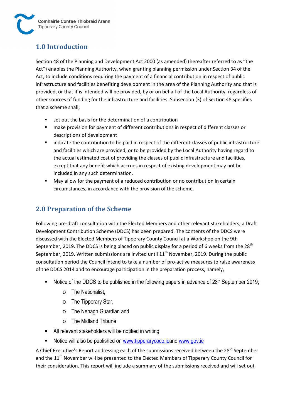# **1.0 Introduction**

Section 48 of the Planning and Development Act 2000 (as amended) (hereafter referred to as "the Act") enables the Planning Authority, when granting planning permission under Section 34 of the Act, to include conditions requiring the payment of a financial contribution in respect of public infrastructure and facilities benefiting development in the area of the Planning Authority and that is provided, or that it is intended will be provided, by or on behalf of the Local Authority, regardless of other sources of funding for the infrastructure and facilities. Subsection (3) of Section 48 specifies that a scheme shall;

- set out the basis for the determination of a contribution
- make provision for payment of different contributions in respect of different classes or descriptions of development
- indicate the contribution to be paid in respect of the different classes of public infrastructure and facilities which are provided, or to be provided by the Local Authority having regard to the actual estimated cost of providing the classes of public infrastructure and facilities, except that any benefit which accrues in respect of existing development may not be included in any such determination.
- May allow for the payment of a reduced contribution or no contribution in certain circumstances, in accordance with the provision of the scheme.

# **2.0 Preparation of the Scheme**

Following pre-draft consultation with the Elected Members and other relevant stakeholders, a Draft Development Contribution Scheme (DDCS) has been prepared. The contents of the DDCS were discussed with the Elected Members of Tipperary County Council at a Workshop on the 9th September, 2019. The DDCS is being placed on public display for a period of 6 weeks from the  $28<sup>th</sup>$ September, 2019. Written submissions are invited until  $11<sup>th</sup>$  November, 2019. During the public consultation period the Council intend to take a number of pro-active measures to raise awareness of the DDCS 2014 and to encourage participation in the preparation process, namely,

- Notice of the DDCS to be published in the following papers in advance of 28<sup>th</sup> September 2019;
	- o The Nationalist,
	- o The Tipperary Star,
	- o The Nenagh Guardian and
	- o The Midland Tribune
- All relevant stakeholders will be notified in writing
- Notice will also be published on www.tipperarycoco.ieand www.gov.ie

A Chief Executive's Report addressing each of the submissions received between the 28<sup>th</sup> September and the  $11<sup>th</sup>$  November will be presented to the Elected Members of Tipperary County Council for their consideration. This report will include a summary of the submissions received and will set out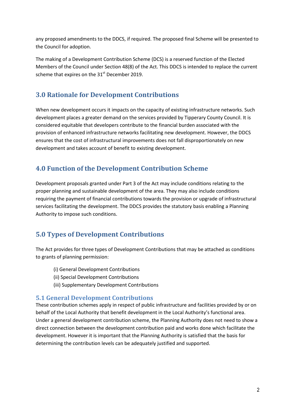any proposed amendments to the DDCS, if required. The proposed final Scheme will be presented to the Council for adoption.

The making of a Development Contribution Scheme (DCS) is a reserved function of the Elected Members of the Council under Section 48(8) of the Act. This DDCS is intended to replace the current scheme that expires on the 31<sup>st</sup> December 2019.

# **3.0 Rationale for Development Contributions**

When new development occurs it impacts on the capacity of existing infrastructure networks. Such development places a greater demand on the services provided by Tipperary County Council. It is considered equitable that developers contribute to the financial burden associated with the provision of enhanced infrastructure networks facilitating new development. However, the DDCS ensures that the cost of infrastructural improvements does not fall disproportionately on new development and takes account of benefit to existing development.

# **4.0 Function of the Development Contribution Scheme**

Development proposals granted under Part 3 of the Act may include conditions relating to the proper planning and sustainable development of the area. They may also include conditions requiring the payment of financial contributions towards the provision or upgrade of infrastructural services facilitating the development. The DDCS provides the statutory basis enabling a Planning Authority to impose such conditions.

# **5.0 Types of Development Contributions**

The Act provides for three types of Development Contributions that may be attached as conditions to grants of planning permission:

- (i) General Development Contributions
- (ii) Special Development Contributions
- (iii) Supplementary Development Contributions

## **5.1 General Development Contributions**

These contribution schemes apply in respect of public infrastructure and facilities provided by or on behalf of the Local Authority that benefit development in the Local Authority's functional area. Under a general development contribution scheme, the Planning Authority does not need to show a direct connection between the development contribution paid and works done which facilitate the development. However it is important that the Planning Authority is satisfied that the basis for determining the contribution levels can be adequately justified and supported.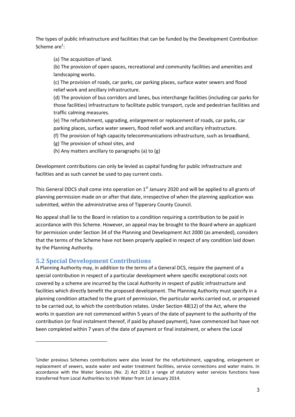The types of public infrastructure and facilities that can be funded by the Development Contribution Scheme are $^1$ :

(a) The acquisition of land.

(b) The provision of open spaces, recreational and community facilities and amenities and landscaping works.

(c) The provision of roads, car parks, car parking places, surface water sewers and flood relief work and ancillary infrastructure.

(d) The provision of bus corridors and lanes, bus interchange facilities (including car parks for those facilities) infrastructure to facilitate public transport, cycle and pedestrian facilities and traffic calming measures.

(e) The refurbishment, upgrading, enlargement or replacement of roads, car parks, car parking places, surface water sewers, flood relief work and ancillary infrastructure.

(f) The provision of high capacity telecommunications infrastructure, such as broadband,

- (g) The provision of school sites, and
- (h) Any matters ancillary to paragraphs (a) to (g)

Development contributions can only be levied as capital funding for public infrastructure and facilities and as such cannot be used to pay current costs.

This General DDCS shall come into operation on  $1<sup>st</sup>$  January 2020 and will be applied to all grants of planning permission made on or after that date, irrespective of when the planning application was submitted, within the administrative area of Tipperary County Council.

No appeal shall lie to the Board in relation to a condition requiring a contribution to be paid in accordance with this Scheme. However, an appeal may be brought to the Board where an applicant for permission under Section 34 of the Planning and Development Act 2000 (as amended), considers that the terms of the Scheme have not been properly applied in respect of any condition laid down by the Planning Authority.

## **5.2 Special Development Contributions**

l

A Planning Authority may, in addition to the terms of a General DCS, require the payment of a special contribution in respect of a particular development where specific exceptional costs not covered by a scheme are incurred by the Local Authority in respect of public infrastructure and facilities which directly benefit the proposed development. The Planning Authority must specify in a planning condition attached to the grant of permission, the particular works carried out, or proposed to be carried out, to which the contribution relates. Under Section 48(12) of the Act, where the works in question are not commenced within 5 years of the date of payment to the authority of the contribution (or final instalment thereof, if paid by phased payment), have commenced but have not been completed within 7 years of the date of payment or final instalment, or where the Local

<sup>&</sup>lt;sup>1</sup>Under previous Schemes contributions were also levied for the refurbishment, upgrading, enlargement or replacement of sewers, waste water and water treatment facilities, service connections and water mains. In accordance with the Water Services (No. 2) Act 2013 a range of statutory water services functions have transferred from Local Authorities to Irish Water from 1st January 2014.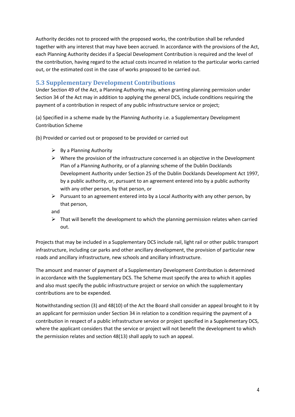Authority decides not to proceed with the proposed works, the contribution shall be refunded together with any interest that may have been accrued. In accordance with the provisions of the Act, each Planning Authority decides if a Special Development Contribution is required and the level of the contribution, having regard to the actual costs incurred in relation to the particular works carried out, or the estimated cost in the case of works proposed to be carried out.

## **5.3 Supplementary Development Contributions**

Under Section 49 of the Act, a Planning Authority may, when granting planning permission under Section 34 of the Act may in addition to applying the general DCS, include conditions requiring the payment of a contribution in respect of any public infrastructure service or project;

(a) Specified in a scheme made by the Planning Authority i.e. a Supplementary Development Contribution Scheme

(b) Provided or carried out or proposed to be provided or carried out

- > By a Planning Authority
- > Where the provision of the infrastructure concerned is an objective in the Development Plan of a Planning Authority, or of a planning scheme of the Dublin Docklands Development Authority under Section 25 of the Dublin Docklands Development Act 1997, by a public authority, or, pursuant to an agreement entered into by a public authority with any other person, by that person, or
- > Pursuant to an agreement entered into by a Local Authority with any other person, by that person,

and

> That will benefit the development to which the planning permission relates when carried out.

Projects that may be included in a Supplementary DCS include rail, light rail or other public transport infrastructure, including car parks and other ancillary development, the provision of particular new roads and ancillary infrastructure, new schools and ancillary infrastructure.

The amount and manner of payment of a Supplementary Development Contribution is determined in accordance with the Supplementary DCS. The Scheme must specify the area to which it applies and also must specify the public infrastructure project or service on which the supplementary contributions are to be expended.

Notwithstanding section (3) and 48(10) of the Act the Board shall consider an appeal brought to it by an applicant for permission under Section 34 in relation to a condition requiring the payment of a contribution in respect of a public infrastructure service or project specified in a Supplementary DCS, where the applicant considers that the service or project will not benefit the development to which the permission relates and section 48(13) shall apply to such an appeal.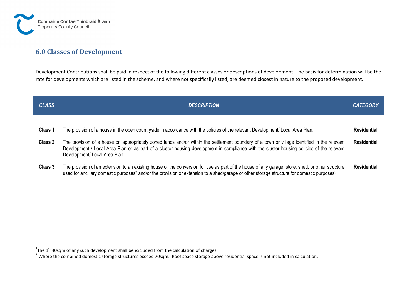

# **6.0 Classes of Development**

Development Contributions shall be paid in respect of the following different classes or descriptions of development. The basis for determination will be the rate for developments which are listed in the scheme, and where not specifically listed, are deemed closest in nature to the proposed development.

| <b>CLASS</b> | <b>DESCRIPTION</b>                                                                                                                                                                                                                                                                                                       | <b>CATEGORY</b>    |
|--------------|--------------------------------------------------------------------------------------------------------------------------------------------------------------------------------------------------------------------------------------------------------------------------------------------------------------------------|--------------------|
|              |                                                                                                                                                                                                                                                                                                                          |                    |
| Class 1      | The provision of a house in the open countryside in accordance with the policies of the relevant Development/ Local Area Plan.                                                                                                                                                                                           | <b>Residential</b> |
| Class 2      | The provision of a house on appropriately zoned lands and/or within the settlement boundary of a town or village identified in the relevant<br>Development / Local Area Plan or as part of a cluster housing development in compliance with the cluster housing policies of the relevant<br>Development/ Local Area Plan |                    |
| Class 3      | The provision of an extension to an existing house or the conversion for use as part of the house of any garage, store, shed, or other structure<br>used for ancillary domestic purposes <sup>2</sup> and/or the provision or extension to a shed/garage or other storage structure for domestic purposes <sup>3</sup>   | <b>Residential</b> |

 $2$ The 1<sup>st</sup> 40sqm of any such development shall be excluded from the calculation of charges.

 $3$  Where the combined domestic storage structures exceed 70sqm. Roof space storage above residential space is not included in calculation.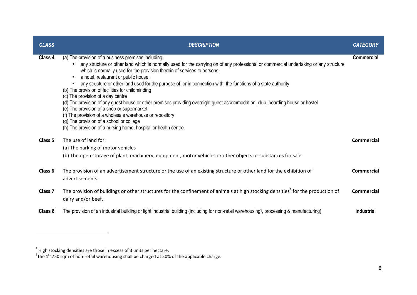| <b>CLASS</b>       | <b>DESCRIPTION</b>                                                                                                                                                                                                                                                                                                                                                                                                                                                                                                                                                                                                                                                                                                                                                                                                                                                                     | <b>CATEGORY</b>   |
|--------------------|----------------------------------------------------------------------------------------------------------------------------------------------------------------------------------------------------------------------------------------------------------------------------------------------------------------------------------------------------------------------------------------------------------------------------------------------------------------------------------------------------------------------------------------------------------------------------------------------------------------------------------------------------------------------------------------------------------------------------------------------------------------------------------------------------------------------------------------------------------------------------------------|-------------------|
| Class 4            | (a) The provision of a business premises including:<br>any structure or other land which is normally used for the carrying on of any professional or commercial undertaking or any structure<br>which is normally used for the provision therein of services to persons:<br>a hotel, restaurant or public house;<br>any structure or other land used for the purpose of, or in connection with, the functions of a state authority<br>(b) The provision of facilities for childminding<br>(c) The provision of a day centre<br>(d) The provision of any guest house or other premises providing overnight guest accommodation, club, boarding house or hostel<br>(e) The provision of a shop or supermarket<br>(f) The provision of a wholesale warehouse or repository<br>(g) The provision of a school or college<br>(h) The provision of a nursing home, hospital or health centre. | <b>Commercial</b> |
| Class 5            | The use of land for:<br>(a) The parking of motor vehicles                                                                                                                                                                                                                                                                                                                                                                                                                                                                                                                                                                                                                                                                                                                                                                                                                              | Commercial        |
|                    | (b) The open storage of plant, machinery, equipment, motor vehicles or other objects or substances for sale.                                                                                                                                                                                                                                                                                                                                                                                                                                                                                                                                                                                                                                                                                                                                                                           |                   |
| Class 6            | The provision of an advertisement structure or the use of an existing structure or other land for the exhibition of<br>advertisements.                                                                                                                                                                                                                                                                                                                                                                                                                                                                                                                                                                                                                                                                                                                                                 | <b>Commercial</b> |
| Class <sub>7</sub> | The provision of buildings or other structures for the confinement of animals at high stocking densities <sup>4</sup> for the production of<br>dairy and/or beef.                                                                                                                                                                                                                                                                                                                                                                                                                                                                                                                                                                                                                                                                                                                      | Commercial        |
| Class 8            | The provision of an industrial building or light industrial building (including for non-retail warehousing <sup>5</sup> , processing & manufacturing).                                                                                                                                                                                                                                                                                                                                                                                                                                                                                                                                                                                                                                                                                                                                 | <b>Industrial</b> |

<sup>&</sup>lt;sup>4</sup> High stocking densities are those in excess of 3 units per hectare.<br><sup>5</sup>The 1<sup>st</sup> 750 sqm of non-retail warehousing shall be charged at 50% of the applicable charge.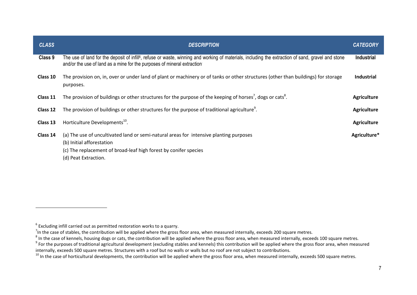| <b>CLASS</b> | <b>DESCRIPTION</b>                                                                                                                                                                                                                        | <b>CATEGORY</b>    |
|--------------|-------------------------------------------------------------------------------------------------------------------------------------------------------------------------------------------------------------------------------------------|--------------------|
| Class 9      | The use of land for the deposit of infill <sup>6</sup> , refuse or waste, winning and working of materials, including the extraction of sand, gravel and stone<br>and/or the use of land as a mine for the purposes of mineral extraction | <b>Industrial</b>  |
| Class 10     | The provision on, in, over or under land of plant or machinery or of tanks or other structures (other than buildings) for storage<br>purposes.                                                                                            | <b>Industrial</b>  |
| Class 11     | The provision of buildings or other structures for the purpose of the keeping of horses <sup>7</sup> , dogs or cats <sup>8</sup> .                                                                                                        | <b>Agriculture</b> |
| Class 12     | The provision of buildings or other structures for the purpose of traditional agriculture <sup>9</sup> .                                                                                                                                  | <b>Agriculture</b> |
| Class 13     | Horticulture Developments <sup>10</sup> .                                                                                                                                                                                                 | <b>Agriculture</b> |
| Class 14     | (a) The use of uncultivated land or semi-natural areas for intensive planting purposes<br>(b) Initial afforestation<br>(c) The replacement of broad-leaf high forest by conifer species<br>(d) Peat Extraction.                           | Agriculture*       |

 $6$  Excluding infill carried out as permitted restoration works to a quarry.

 $^7$ In the case of stables, the contribution will be applied where the gross floor area, when measured internally, exceeds 200 square metres.

 $^8$  In the case of kennels, housing dogs or cats, the contribution will be applied where the gross floor area, when measured internally, exceeds 100 square metres.

 $9$  For the purposes of traditional agricultural development (excluding stables and kennels) this contribution will be applied where the gross floor area, when measured internally, exceeds 500 square metres. Structures with a roof but no walls or walls but no roof are not subject to contributions.

 $^{10}$  In the case of horticultural developments, the contribution will be applied where the gross floor area, when measured internally, exceeds 500 square metres.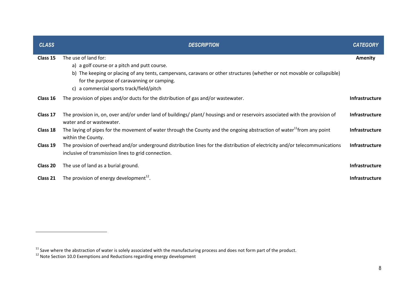| <b>CLASS</b> | <b>DESCRIPTION</b>                                                                                                                                                                                                                                                                            | <b>CATEGORY</b>       |
|--------------|-----------------------------------------------------------------------------------------------------------------------------------------------------------------------------------------------------------------------------------------------------------------------------------------------|-----------------------|
| Class 15     | The use of land for:<br>a) a golf course or a pitch and putt course.<br>b) The keeping or placing of any tents, campervans, caravans or other structures (whether or not movable or collapsible)<br>for the purpose of caravanning or camping.<br>a commercial sports track/field/pitch<br>C) | <b>Amenity</b>        |
| Class 16     | The provision of pipes and/or ducts for the distribution of gas and/or wastewater.                                                                                                                                                                                                            | <b>Infrastructure</b> |
| Class 17     | The provision in, on, over and/or under land of buildings/ plant/ housings and or reservoirs associated with the provision of<br>water and or wastewater.                                                                                                                                     | <b>Infrastructure</b> |
| Class 18     | The laying of pipes for the movement of water through the County and the ongoing abstraction of water <sup>11</sup> from any point<br>within the County.                                                                                                                                      | <b>Infrastructure</b> |
| Class 19     | The provision of overhead and/or underground distribution lines for the distribution of electricity and/or telecommunications<br>inclusive of transmission lines to grid connection.                                                                                                          | <b>Infrastructure</b> |
| Class 20     | The use of land as a burial ground.                                                                                                                                                                                                                                                           | <b>Infrastructure</b> |
| Class 21     | The provision of energy development <sup>12</sup> .                                                                                                                                                                                                                                           | <b>Infrastructure</b> |

<sup>&</sup>lt;sup>11</sup> Save where the abstraction of water is solely associated with the manufacturing process and does not form part of the product.<br><sup>12</sup> Note Section 10.0 Exemptions and Reductions regarding energy development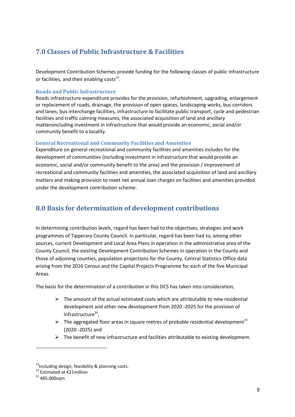# **7.0 Classes of Public Infrastructure & Facilities**

Development Contribution Schemes provide funding for the following classes of public infrastructure or facilities, and their enabling costs $^{13}$ .

#### **Roads and Public Infrastructure**

Roads infrastructure expenditure provides for the provision, refurbishment, upgrading, enlargement or replacement of roads, drainage, the provision of open spaces, landscaping works, bus corridors and lanes, bus interchange facilities, infrastructure to facilitate public transport, cycle and pedestrian facilities and traffic calming measures, the associated acquisition of land and ancillary mattersincluding investment in infrastructure that would provide an economic, social and/or community benefit to a locality.

## **General Recreational and Community Facilities and Amenities**

Expenditure on general recreational and community facilities and amenities includes for the development of communities (including investment in infrastructure that would provide an economic, social and/or community benefit to the area) and the provision / improvement of recreational and community facilities and amenities, the associated acquisition of land and ancillary matters and making provision to meet net annual loan charges on facilities and amenities provided under the development contribution scheme.

# **8.0 Basis for determination of development contributions**

In determining contribution levels, regard has been had to the objectives, strategies and work programmes of Tipperary County Council. In particular, regard has been had to, among other sources, current Development and Local Area Plans in operation in the administrative area of the County Council, the existing Development Contribution Schemes in operation in the County and those of adjoining counties, population projections for the County, Central Statistics Office data arising from the 2016 Census and the Capital Projects Programme for each of the five Municipal Areas.

The basis for the determination of a contribution in this DCS has taken into consideration;

- > The amount of the actual estimated costs which are attributable to new residential development and other new development from 2020 -2025 for the provision of infrastructure<sup>14</sup>,
- $\triangleright$  The aggregated floor areas in square metres of probable residential development<sup>15</sup> (2020 -2025) and
- > The benefit of new infrastructure and facilities attributable to existing development.

 $\overline{\phantom{0}}$ 

 $13$ Including design, feasibility & planning costs.

<sup>14</sup> Estimated at €21million

 $15$  485,000sqm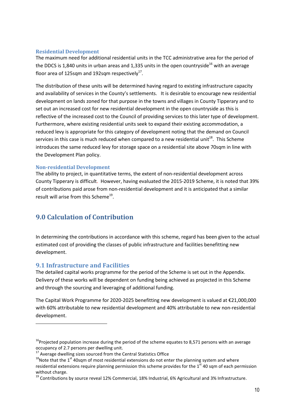#### **Residential Development**

The maximum need for additional residential units in the TCC administrative area for the period of the DDCS is 1,840 units in urban areas and 1,335 units in the open countryside<sup>16</sup> with an average floor area of 125sqm and 192sqm respectively $^{17}$ .

The distribution of these units will be determined having regard to existing infrastructure capacity and availability of services in the County's settlements. It is desirable to encourage new residential development on lands zoned for that purpose in the towns and villages in County Tipperary and to set out an increased cost for new residential development in the open countryside as this is reflective of the increased cost to the Council of providing services to this later type of development. Furthermore, where existing residential units seek to expand their existing accommodation, a reduced levy is appropriate for this category of development noting that the demand on Council services in this case is much reduced when compared to a new residential unit<sup>18</sup>. This Scheme introduces the same reduced levy for storage space on a residential site above 70sqm in line with the Development Plan policy.

#### **Non-residential Development**

The ability to project, in quantitative terms, the extent of non-residential development across County Tipperary is difficult. However, having evaluated the 2015-2019 Scheme, it is noted that 39% of contributions paid arose from non-residential development and it is anticipated that a similar result will arise from this Scheme<sup>19</sup>.

# **9.0 Calculation of Contribution**

In determining the contributions in accordance with this scheme, regard has been given to the actual estimated cost of providing the classes of public infrastructure and facilities benefitting new development.

## **9.1 Infrastructure and Facilities**

 $\overline{a}$ 

The detailed capital works programme for the period of the Scheme is set out in the Appendix. Delivery of these works will be dependent on funding being achieved as projected in this Scheme and through the sourcing and leveraging of additional funding.

The Capital Work Programme for 2020-2025 benefitting new development is valued at €21,000,000 with 60% attributable to new residential development and 40% attributable to new non-residential development.

 $16P$ Projected population increase during the period of the scheme equates to 8,571 persons with an average occupancy of 2.7 persons per dwelling unit.

 $17$  Average dwelling sizes sourced from the Central Statistics Office

 $18$ Note that the 1<sup>st</sup> 40sqm of most residential extensions do not enter the planning system and where residential extensions require planning permission this scheme provides for the  $1<sup>st</sup>$  40 sqm of each permission without charge.

<sup>&</sup>lt;sup>19</sup> Contributions by source reveal 12% Commercial, 18% Industrial, 6% Agricultural and 3% Infrastructure.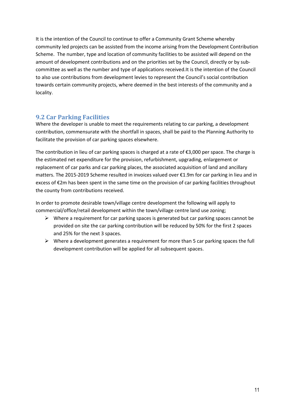It is the intention of the Council to continue to offer a Community Grant Scheme whereby community led projects can be assisted from the income arising from the Development Contribution Scheme. The number, type and location of community facilities to be assisted will depend on the amount of development contributions and on the priorities set by the Council, directly or by subcommittee as well as the number and type of applications received.It is the intention of the Council to also use contributions from development levies to represent the Council's social contribution towards certain community projects, where deemed in the best interests of the community and a locality.

## **9.2 Car Parking Facilities**

Where the developer is unable to meet the requirements relating to car parking, a development contribution, commensurate with the shortfall in spaces, shall be paid to the Planning Authority to facilitate the provision of car parking spaces elsewhere.

The contribution in lieu of car parking spaces is charged at a rate of  $\epsilon$ 3,000 per space. The charge is the estimated net expenditure for the provision, refurbishment, upgrading, enlargement or replacement of car parks and car parking places, the associated acquisition of land and ancillary matters. The 2015-2019 Scheme resulted in invoices valued over €1.9m for car parking in lieu and in excess of €2m has been spent in the same time on the provision of car parking facilities throughout the county from contributions received.

In order to promote desirable town/village centre development the following will apply to commercial/office/retail development within the town/village centre land use zoning;

- > Where a requirement for car parking spaces is generated but car parking spaces cannot be provided on site the car parking contribution will be reduced by 50% for the first 2 spaces and 25% for the next 3 spaces.
- > Where a development generates a requirement for more than 5 car parking spaces the full development contribution will be applied for all subsequent spaces.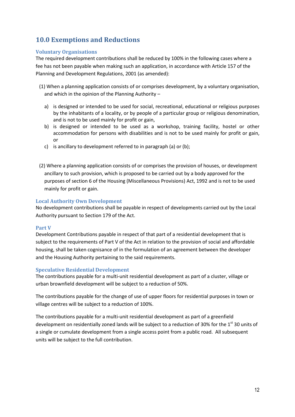# **10.0 Exemptions and Reductions**

#### **Voluntary Organisations**

The required development contributions shall be reduced by 100% in the following cases where a fee has not been payable when making such an application, in accordance with Article 157 of the Planning and Development Regulations, 2001 (as amended):

(1) When a planning application consists of or comprises development, by a voluntary organisation, and which in the opinion of the Planning Authority –

- a) is designed or intended to be used for social, recreational, educational or religious purposes by the inhabitants of a locality, or by people of a particular group or religious denomination, and is not to be used mainly for profit or gain,
- b) is designed or intended to be used as a workshop, training facility, hostel or other accommodation for persons with disabilities and is not to be used mainly for profit or gain, or
- c) is ancillary to development referred to in paragraph (a) or (b);
- (2) Where a planning application consists of or comprises the provision of houses, or development ancillary to such provision, which is proposed to be carried out by a body approved for the purposes of section 6 of the Housing (Miscellaneous Provisions) Act, 1992 and is not to be used mainly for profit or gain.

#### **Local Authority Own Development**

No development contributions shall be payable in respect of developments carried out by the Local Authority pursuant to Section 179 of the Act.

#### **Part V**

Development Contributions payable in respect of that part of a residential development that is subject to the requirements of Part V of the Act in relation to the provision of social and affordable housing, shall be taken cognisance of in the formulation of an agreement between the developer and the Housing Authority pertaining to the said requirements.

#### **Speculative Residential Development**

The contributions payable for a multi-unit residential development as part of a cluster, village or urban brownfield development will be subject to a reduction of 50%.

The contributions payable for the change of use of upper floors for residential purposes in town or village centres will be subject to a reduction of 100%.

The contributions payable for a multi-unit residential development as part of a greenfield development on residentially zoned lands will be subject to a reduction of 30% for the 1<sup>st</sup> 30 units of a single or cumulate development from a single access point from a public road. All subsequent units will be subject to the full contribution.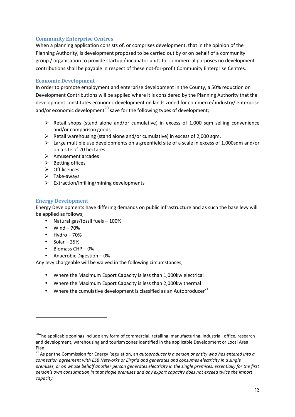## **Community Enterprise Centres**

When a planning application consists of, or comprises development, that in the opinion of the Planning Authority, is development proposed to be carried out by or on behalf of a community group / organisation to provide startup / incubator units for commercial purposes no development contributions shall be payable in respect of these not-for-profit Community Enterprise Centres.

#### **Economic Development**

In order to promote employment and enterprise development in the County, a 50% reduction on Development Contributions will be applied where it is considered by the Planning Authority that the development constitutes economic development on lands zoned for commerce/ industry/ enterprise and/or economic development<sup>20</sup> save for the following types of development;

- > Retail shops (stand alone and/or cumulative) in excess of 1,000 sqm selling convenience and/or comparison goods
- > Retail warehousing (stand alone and/or cumulative) in excess of 2,000 sqm.
- > Large multiple use developments on a greenfield site of a scale in excess of 1,000sqm and/or on a site of 20 hectares
- > Amusement arcades
- > Betting offices
- > Off licences
- > Take-aways
- > Extraction/infilling/mining developments

#### **Energy Development**

Energy Developments have differing demands on public infrastructure and as such the base levy will be applied as follows;

- Natural gas/fossil fuels 100%
- $\bullet$  Wind  $-70\%$
- $\bullet$  Hydro 70%
- $\bullet$  Solar 25%

 $\overline{\phantom{0}}$ 

- Biomass CHP 0%
- Anaerobic Digestion 0%

Any levy chargeable will be waived in the following circumstances;

- Where the Maximum Export Capacity is less than 1,000kw electrical
- Where the Maximum Export Capacity is less than 2,000kw thermal
- Where the cumulative development is classified as an Autoproducer $^{21}$

<sup>21</sup> As per the Commission for Energy Regulation, an autoproducer is a person or entity who has entered into a *connection agreement with ESB Networks or Eirgrid and generates and consumes electricity in a single premises, or on whose behalf another person generates electricity in the single premises, essentially for the first person's own consumption in that single premises and any export capacity does not exceed twice the import capacity.*

<sup>&</sup>lt;sup>20</sup>The applicable zonings include any form of commercial, retailing, manufacturing, industrial, office, research and development, warehousing and tourism zones identified in the applicable Development or Local Area Plan.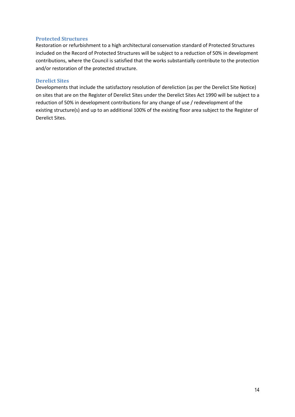#### **Protected Structures**

Restoration or refurbishment to a high architectural conservation standard of Protected Structures included on the Record of Protected Structures will be subject to a reduction of 50% in development contributions, where the Council is satisfied that the works substantially contribute to the protection and/or restoration of the protected structure.

#### **Derelict Sites**

Developments that include the satisfactory resolution of dereliction (as per the Derelict Site Notice) on sites that are on the Register of Derelict Sites under the Derelict Sites Act 1990 will be subject to a reduction of 50% in development contributions for any change of use / redevelopment of the existing structure(s) and up to an additional 100% of the existing floor area subject to the Register of Derelict Sites.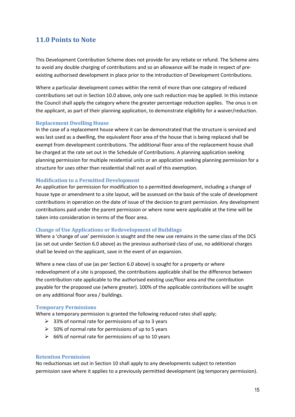## **11.0 Points to Note**

This Development Contribution Scheme does not provide for any rebate or refund. The Scheme aims to avoid any double charging of contributions and so an allowance will be made in respect of preexisting authorised development in place prior to the introduction of Development Contributions.

Where a particular development comes within the remit of more than one category of reduced contributions set out in Section 10.0 above, only one such reduction may be applied. In this instance the Council shall apply the category where the greater percentage reduction applies. The onus is on the applicant, as part of their planning application, to demonstrate eligibility for a waiver/reduction.

#### **Replacement Dwelling House**

In the case of a replacement house where it can be demonstrated that the structure is serviced and was last used as a dwelling, the equivalent floor area of the house that is being replaced shall be exempt from development contributions. The additional floor area of the replacement house shall be charged at the rate set out in the Schedule of Contributions. A planning application seeking planning permission for multiple residential units or an application seeking planning permission for a structure for uses other than residential shall not avail of this exemption.

#### **Modification to a Permitted Development**

An application for permission for modification to a permitted development, including a change of house type or amendment to a site layout, will be assessed on the basis of the scale of development contributions in operation on the date of issue of the decision to grant permission. Any development contributions paid under the parent permission or where none were applicable at the time will be taken into consideration in terms of the floor area.

#### **Change of Use Applications or Redevelopment of Buildings**

Where a 'change of use' permission is sought and the new use remains in the same class of the DCS (as set out under Section 6.0 above) as the previous authorised class of use, no additional charges shall be levied on the applicant, save in the event of an expansion.

Where a new class of use (as per Section 6.0 above) is sought for a property or where redevelopment of a site is proposed, the contributions applicable shall be the difference between the contribution rate applicable to the authorised existing use/floor area and the contribution payable for the proposed use (where greater). 100% of the applicable contributions will be sought on any additional floor area / buildings.

#### **Temporary Permissions**

Where a temporary permission is granted the following reduced rates shall apply;

- ▶ 33% of normal rate for permissions of up to 3 years
- ▶ 50% of normal rate for permissions of up to 5 years
- ▶ 66% of normal rate for permissions of up to 10 years

#### **Retention Permission**

No reductionsas set out in Section 10 shall apply to any developments subject to retention permission save where it applies to a previously permitted development (eg temporary permission).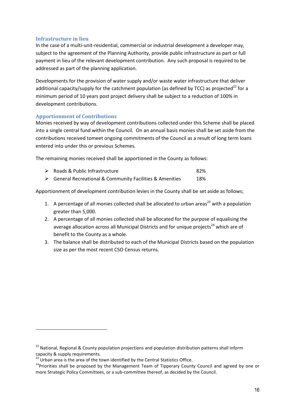#### **Infrastructure in lieu**

In the case of a multi-unit-residential, commercial or industrial development a developer may, subject to the agreement of the Planning Authority, provide public infrastructure as part or full payment in lieu of the relevant development contribution. Any such proposal is required to be addressed as part of the planning application.

Developments for the provision of water supply and/or waste water infrastructure that deliver additional capacity/supply for the catchment population (as defined by TCC) as projected<sup>22</sup> for a minimum period of 10 years post project delivery shall be subject to a reduction of 100% in development contributions.

#### **Apportionment of Contributions**

l

Monies received by way of development contributions collected under this Scheme shall be placed into a single central fund within the Council. On an annual basis monies shall be set aside from the contributions received tomeet ongoing commitments of the Council as a result of long term loans entered into under this or previous Schemes.

The remaining monies received shall be apportioned in the County as follows:

- Roads & Public Infrastructure 82%
- General Recreational & Community Facilities & Amenities 18%

Apportionment of development contribution levies in the County shall be set aside as follows;

- 1. A percentage of all monies collected shall be allocated to urban areas<sup>23</sup> with a population greater than 5,000.
- 2. A percentage of all monies collected shall be allocated for the purpose of equalising the average allocation across all Municipal Districts and for unique projects<sup>24</sup> which are of benefit to the County as a whole.
- 3. The balance shall be distributed to each of the Municipal Districts based on the population size as per the most recent CSO Census returns.

<sup>&</sup>lt;sup>22</sup> National, Regional & County population projections and population distribution patterns shall inform capacity & supply requirements.

 $^{23}$  Urban area is the area of the town identified by the Central Statistics Office.

<sup>&</sup>lt;sup>24</sup>Priorities shall be proposed by the Management Team of Tipperary County Council and agreed by one or more Strategic Policy Committees, or a sub-committee thereof, as decided by the Council.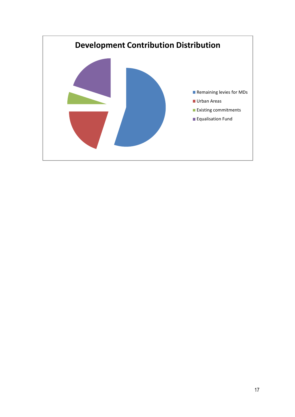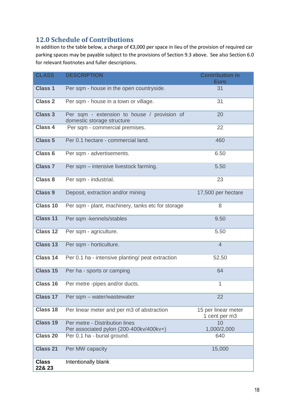# **12.0 Schedule of Contributions**

In addition to the table below, a charge of €3,000 per space in lieu of the provision of required car parking spaces may be payable subject to the provisions of Section 9.3 above. See also Section 6.0 for relevant footnotes and fuller descriptions.

| <b>CLASS</b>           | <b>DESCRIPTION</b>                                                        | <b>Contribution in</b><br><b>Euro</b> |
|------------------------|---------------------------------------------------------------------------|---------------------------------------|
| <b>Class 1</b>         | Per sqm - house in the open countryside.                                  | 31                                    |
| <b>Class 2</b>         | Per sqm - house in a town or village.                                     | 31                                    |
| <b>Class 3</b>         | Per sqm - extension to house / provision of<br>domestic storage structure | 20                                    |
| <b>Class 4</b>         | Per sqm - commercial premises.                                            | 22                                    |
| <b>Class 5</b>         | Per 0.1 hectare - commercial land.                                        | 460                                   |
| <b>Class 6</b>         | Per sqm - advertisements.                                                 | 6.50                                  |
| <b>Class 7</b>         | Per sqm - intensive livestock farming.                                    | 5.50                                  |
| Class 8                | Per sqm - industrial.                                                     | 23                                    |
| <b>Class 9</b>         | Deposit, extraction and/or mining                                         | 17,500 per hectare                    |
| Class 10               | Per sqm - plant, machinery, tanks etc for storage                         | 8                                     |
| <b>Class 11</b>        | Per sqm - kennels/stables                                                 | 9.50                                  |
| <b>Class 12</b>        | Per sqm - agriculture.                                                    | 5.50                                  |
| <b>Class 13</b>        | Per sqm - horticulture.                                                   | $\overline{4}$                        |
| <b>Class 14</b>        | Per 0.1 ha - intensive planting/ peat extraction                          | 52.50                                 |
| Class 15               | Per ha - sports or camping                                                | 64                                    |
| Class 16               | Per metre -pipes and/or ducts.                                            | 1                                     |
| <b>Class 17</b>        | Per sqm - water/wastewater                                                | 22                                    |
| <b>Class 18</b>        | Per linear meter and per m3 of abstraction                                | 15 per linear meter<br>1 cent per m3  |
| <b>Class 19</b>        | Per metre - Distribution lines<br>Per associated pylon (200-400kv/400kv+) | 10<br>1,000/2,000                     |
| <b>Class 20</b>        | Per 0.1 ha - burial ground.                                               | 640                                   |
| <b>Class 21</b>        | Per MW capacity                                                           | 15,000                                |
| <b>Class</b><br>22& 23 | Intentionally blank                                                       |                                       |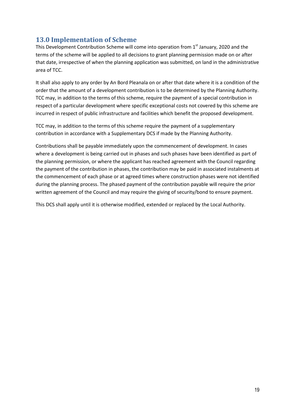# **13.0 Implementation of Scheme**

This Development Contribution Scheme will come into operation from  $1<sup>st</sup>$  January, 2020 and the terms of the scheme will be applied to all decisions to grant planning permission made on or after that date, irrespective of when the planning application was submitted, on land in the administrative area of TCC.

It shall also apply to any order by An Bord Pleanala on or after that date where it is a condition of the order that the amount of a development contribution is to be determined by the Planning Authority. TCC may, in addition to the terms of this scheme, require the payment of a special contribution in respect of a particular development where specific exceptional costs not covered by this scheme are incurred in respect of public infrastructure and facilities which benefit the proposed development.

TCC may, in addition to the terms of this scheme require the payment of a supplementary contribution in accordance with a Supplementary DCS if made by the Planning Authority.

Contributions shall be payable immediately upon the commencement of development. In cases where a development is being carried out in phases and such phases have been identified as part of the planning permission, or where the applicant has reached agreement with the Council regarding the payment of the contribution in phases, the contribution may be paid in associated instalments at the commencement of each phase or at agreed times where construction phases were not identified during the planning process. The phased payment of the contribution payable will require the prior written agreement of the Council and may require the giving of security/bond to ensure payment.

This DCS shall apply until it is otherwise modified, extended or replaced by the Local Authority.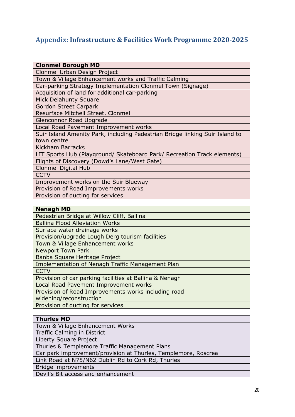# **Appendix: Infrastructure & Facilities Work Programme 2020-2025**

| <b>Clonmel Borough MD</b>                                                    |
|------------------------------------------------------------------------------|
| Clonmel Urban Design Project                                                 |
| Town & Village Enhancement works and Traffic Calming                         |
| Car-parking Strategy Implementation Clonmel Town (Signage)                   |
| Acquisition of land for additional car-parking                               |
| Mick Delahunty Square                                                        |
| <b>Gordon Street Carpark</b>                                                 |
| Resurface Mitchell Street, Clonmel                                           |
| Glenconnor Road Upgrade                                                      |
| Local Road Pavement Improvement works                                        |
| Suir Island Amenity Park, including Pedestrian Bridge linking Suir Island to |
| town centre                                                                  |
| <b>Kickham Barracks</b>                                                      |
| LIT Sports Hub (Playground/ Skateboard Park/ Recreation Track elements)      |
| Flights of Discovery (Dowd's Lane/West Gate)                                 |
| <b>Clonmel Digital Hub</b>                                                   |
| <b>CCTV</b>                                                                  |
| Improvement works on the Suir Blueway                                        |
| Provision of Road Improvements works                                         |
| Provision of ducting for services                                            |
|                                                                              |
| <b>Nenagh MD</b>                                                             |
| Pedestrian Bridge at Willow Cliff, Ballina                                   |
| <b>Ballina Flood Alleviation Works</b>                                       |
| Surface water drainage works                                                 |
| Provision/upgrade Lough Derg tourism facilities                              |
| Town & Village Enhancement works                                             |
| <b>Newport Town Park</b>                                                     |
| Banba Square Heritage Project                                                |
| Implementation of Nenagh Traffic Management Plan                             |
| <b>CCTV</b>                                                                  |
| Provision of car parking facilities at Ballina & Nenagh                      |
| Local Road Pavement Improvement works                                        |
| Provision of Road Improvements works including road                          |
| widening/reconstruction                                                      |
| Provision of ducting for services                                            |
|                                                                              |
| <b>Thurles MD</b>                                                            |
| Town & Village Enhancement Works                                             |
| <b>Traffic Calming in District</b>                                           |
| Liberty Square Project                                                       |
| Thurles & Templemore Traffic Management Plans                                |
| Car park improvement/provision at Thurles, Templemore, Roscrea               |
| Link Road at N75/N62 Dublin Rd to Cork Rd, Thurles                           |
| Bridge improvements                                                          |
| Devil's Bit access and enhancement                                           |
|                                                                              |